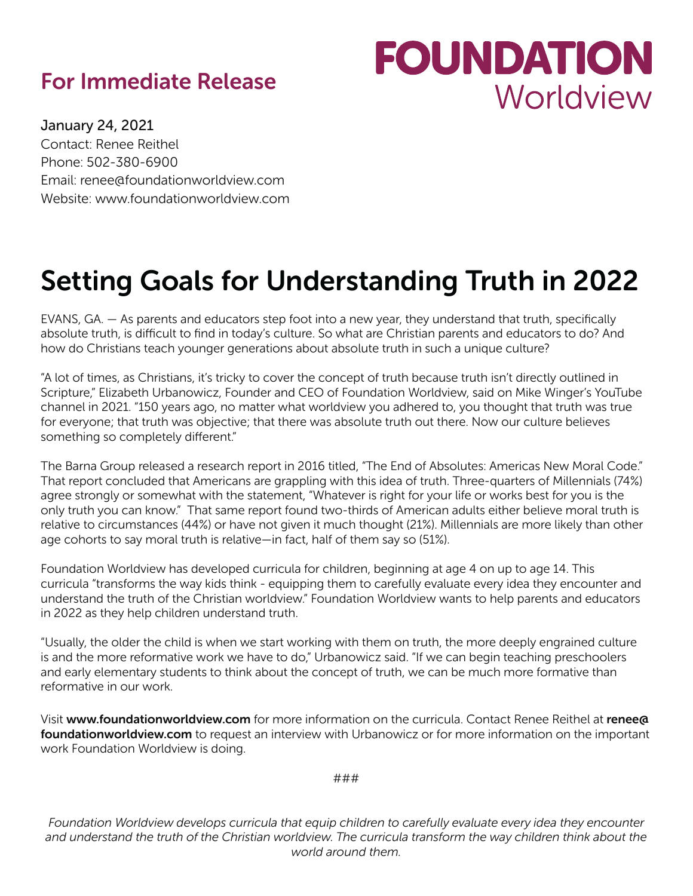## For Immediate Release

## **FOUNDATION** Worldview

January 24, 2021 Contact: Renee Reithel Phone: 502-380-6900 Email: renee@foundationworldview.com Website: www.foundationworldview.com

## Setting Goals for Understanding Truth in 2022

EVANS, GA. — As parents and educators step foot into a new year, they understand that truth, specifically absolute truth, is difficult to find in today's culture. So what are Christian parents and educators to do? And how do Christians teach younger generations about absolute truth in such a unique culture?

"A lot of times, as Christians, it's tricky to cover the concept of truth because truth isn't directly outlined in Scripture," Elizabeth Urbanowicz, Founder and CEO of Foundation Worldview, said on Mike Winger's YouTube channel in 2021. "150 years ago, no matter what worldview you adhered to, you thought that truth was true for everyone; that truth was objective; that there was absolute truth out there. Now our culture believes something so completely different."

The Barna Group released a research report in 2016 titled, "The End of Absolutes: Americas New Moral Code." That report concluded that Americans are grappling with this idea of truth. Three-quarters of Millennials (74%) agree strongly or somewhat with the statement, "Whatever is right for your life or works best for you is the only truth you can know." That same report found two-thirds of American adults either believe moral truth is relative to circumstances (44%) or have not given it much thought (21%). Millennials are more likely than other age cohorts to say moral truth is relative—in fact, half of them say so (51%).

Foundation Worldview has developed curricula for children, beginning at age 4 on up to age 14. This curricula "transforms the way kids think - equipping them to carefully evaluate every idea they encounter and understand the truth of the Christian worldview." Foundation Worldview wants to help parents and educators in 2022 as they help children understand truth.

"Usually, the older the child is when we start working with them on truth, the more deeply engrained culture is and the more reformative work we have to do," Urbanowicz said. "If we can begin teaching preschoolers and early elementary students to think about the concept of truth, we can be much more formative than reformative in our work.

Visit www.foundationworldview.com for more information on the curricula. Contact Renee Reithel at renee@ foundationworldview.com to request an interview with Urbanowicz or for more information on the important work Foundation Worldview is doing.

###

*Foundation Worldview develops curricula that equip children to carefully evaluate every idea they encounter and understand the truth of the Christian worldview. The curricula transform the way children think about the world around them.*